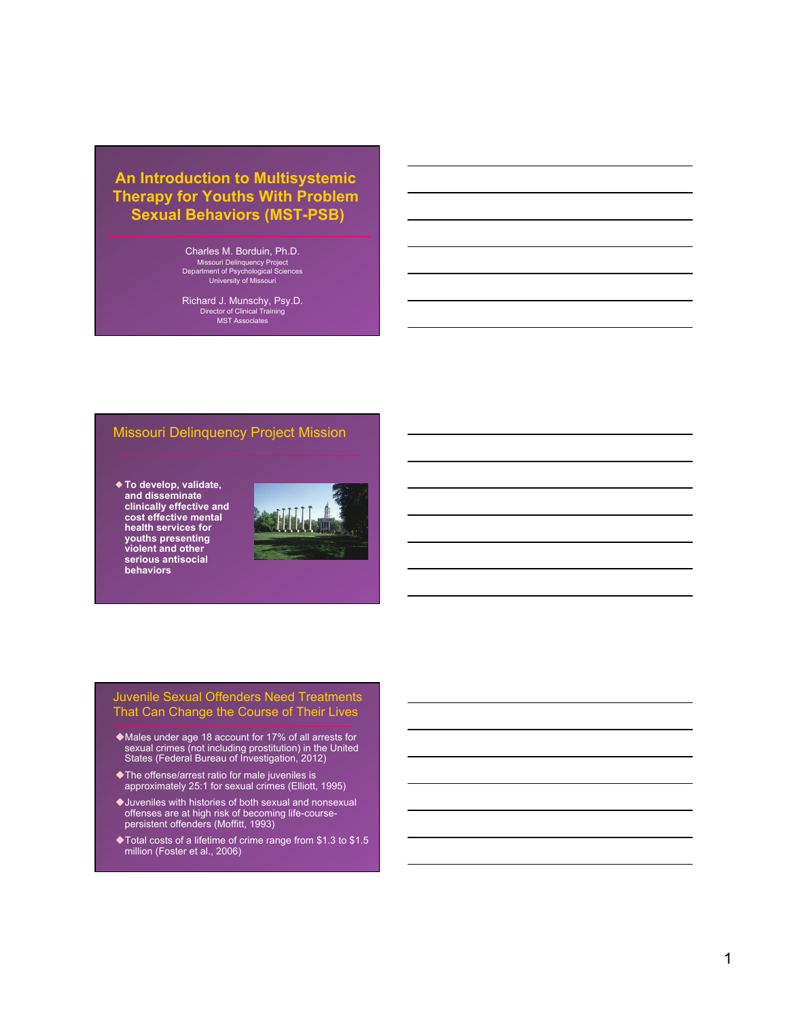# **An Introduction to Multisystemic Therapy for Youths With Problem Sexual Behaviors (MST-PSB)**

Charles M. Borduin, Ph.D. Missouri Delinquency Project Department of Psychological Sciences University of Missouri

Richard J. Munschy, Psy.D. Director of Clinical Training MST Associates

#### Missouri Delinquency Project Mission

◆ **To develop, validate, and disseminate clinically effective and cost effective mental health services for youths presenting violent and other serious antisocial behaviors**



## Juvenile Sexual Offenders Need Treatments That Can Change the Course of Their Lives

- ◆ Males under age 18 account for 17% of all arrests for sexual crimes (not including prostitution) in the United States (Federal Bureau of Investigation, 2012)
- $\blacklozenge$ The offense/arrest ratio for male juveniles is approximately 25:1 for sexual crimes (Elliott, 1995)
- $\blacklozenge$  Juveniles with histories of both sexual and nonsexual offenses are at high risk of becoming life-coursepersistent offenders (Moffitt, 1993)
- $\blacklozenge$  Total costs of a lifetime of crime range from \$1.3 to \$1.5 million (Foster et al., 2006)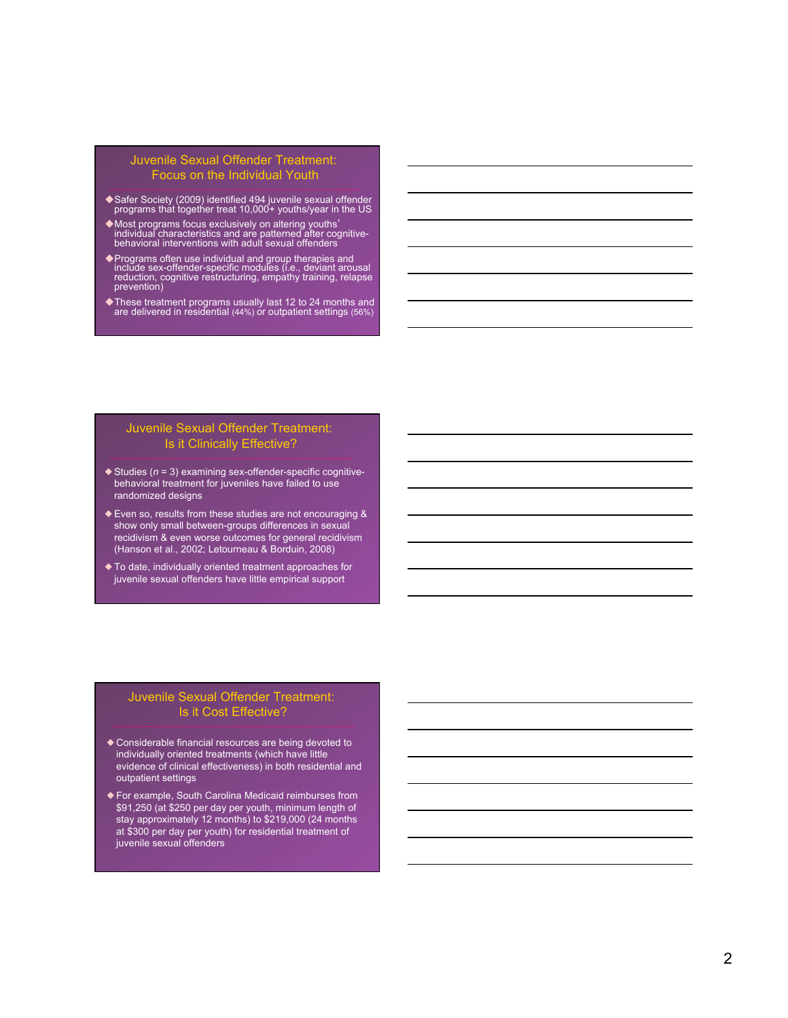#### Juvenile Sexual Offender Treatment: Focus on the Individual Youth

- ◆ Safer Society (2009) identified 494 juvenile sexual offender programs that together treat 10,000+ youths/year in the US
- <sup>u</sup>Most programs focus exclusively on altering youths' individual characteristics and are patterned after cognitive-behavioral interventions with adult sexual offenders
- uPrograms often use individual and group therapies and include sex-offender-specific modules (i.e., deviant arousal reduction, cognitive restructuring, empathy training, relapse prevention)
- ◆ These treatment programs usually last 12 to 24 months and are delivered in residential (44%) or outpatient settings (56%)

#### Juvenile Sexual Offender Treatment: Is it Clinically Effective?

- ◆ Studies (*n* = 3) examining sex-offender-specific cognitivebehavioral treatment for juveniles have failed to use randomized designs
- ◆ Even so, results from these studies are not encouraging & show only small between-groups differences in sexual recidivism & even worse outcomes for general recidivism (Hanson et al., 2002; Letourneau & Borduin, 2008)
- ◆ To date, individually oriented treatment approaches for juvenile sexual offenders have little empirical support

#### Juvenile Sexual Offender Treatment: Is it Cost Effective?

- ◆ Considerable financial resources are being devoted to individually oriented treatments (which have little evidence of clinical effectiveness) in both residential and outpatient settings
- ◆ For example, South Carolina Medicaid reimburses from \$91,250 (at \$250 per day per youth, minimum length of stay approximately 12 months) to \$219,000 (24 months at \$300 per day per youth) for residential treatment of juvenile sexual offenders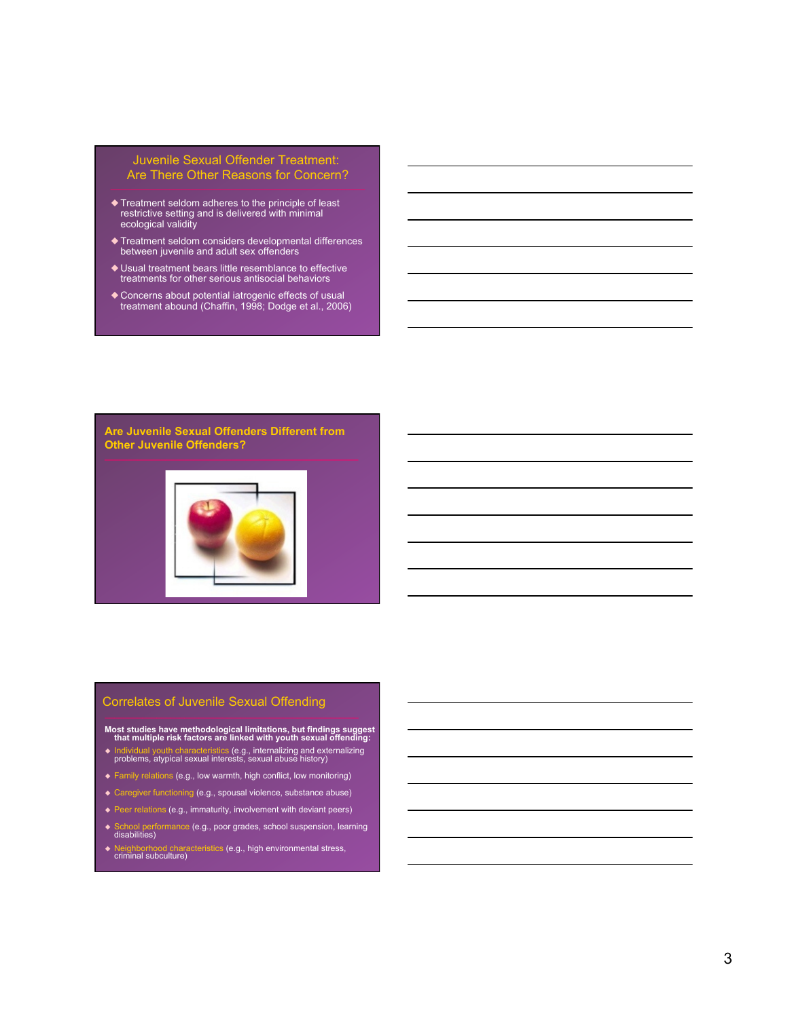#### Juvenile Sexual Offender Treatment: Are There Other Reasons for Concern?

- ◆ Treatment seldom adheres to the principle of least restrictive setting and is delivered with minimal ecological validity
- ◆ Treatment seldom considers developmental differences between juvenile and adult sex offenders
- ◆ Usual treatment bears little resemblance to effective treatments for other serious antisocial behaviors
- ◆ Concerns about potential iatrogenic effects of usual treatment abound (Chaffin, 1998; Dodge et al., 2006)

**Are Juvenile Sexual Offenders Different from Other Juvenile Offenders?**



#### Correlates of Juvenile Sexual Offending

**Most studies have methodological limitations, but findings suggest that multiple risk factors are linked with youth sexual offending:** 

- u Individual youth characteristics (e.g., internalizing and externalizing problems, atypical sexual interests, sexual abuse history)
- $\triangle$  Family relations (e.g., low warmth, high conflict, low monitoring)
- ◆ Caregiver functioning (e.g., spousal violence, substance abuse)
- $\blacklozenge$  Peer relations (e.g., immaturity, involvement with deviant peers)
- ◆ School performance (e.g., poor grades, school suspension, learning disabilities)
- <sup>u</sup> Neighborhood characteristics (e.g., high environmental stress, criminal subculture)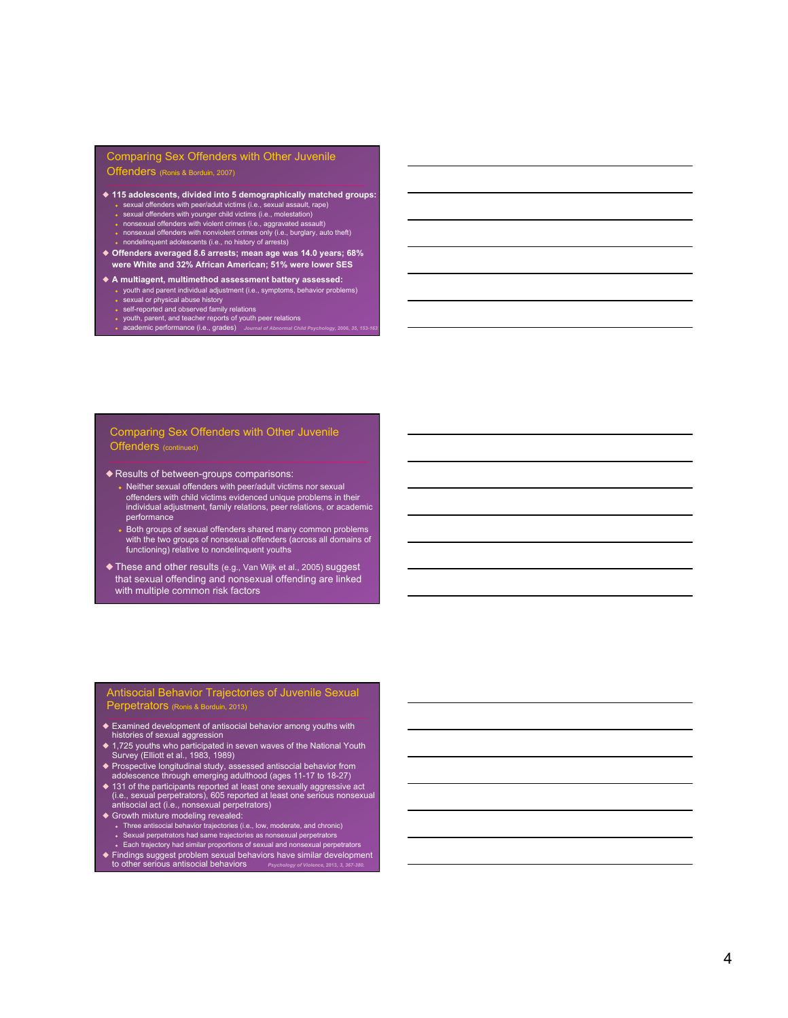#### Comparing Sex Offenders with Other Juvenile

Offenders (Ronis & Borduin, 2007)

- ◆ **115 adolescents, divided into 5 demographically matched groups:** ◆ sexual offenders with peer/adult victims (i.e., sexual assault, rape) →<br>● sexual offenders with younger child victims (i.e., molestation)
	-
	- ◆ nonsexual offenders with violent crimes (i.e., aggravated assault)<br>◆ nonsexual offenders with nonviolent crimes only (i.e., burglary, auto theft)<br>◆ nondelinquent adolescents (i.e., no history of arrests)
	-
- ◆ **Offenders averaged 8.6 arrests; mean age was 14.0 years; 68% were White and 32% African American; 51% were lower SES**
- ◆ **A multiagent, multimethod assessment battery assessed:**
	- youth and parent individual adjustment (i.e., symptoms, behavior problems)
	- ◆ sexual or physical abuse history<br>◆ self-reported and observed family relations
	- youth, parent, and teacher reports of youth peer relations
	- ◆ academic performance (i.e., grades) *Journal of Abnormal Child Psychology,* **2006,** *35, 153-163*

#### Comparing Sex Offenders with Other Juvenile Offenders (continued)

- ◆ Results of between-groups comparisons:
	- $\bullet$  Neither sexual offenders with peer/adult victims nor sexual offenders with child victims evidenced unique problems in their individual adjustment, family relations, peer relations, or academic performance
	- Both groups of sexual offenders shared many common problems with the two groups of nonsexual offenders (across all domains of functioning) relative to nondelinquent youths
- ◆ These and other results (e.g., Van Wijk et al., 2005) suggest that sexual offending and nonsexual offending are linked with multiple common risk factors

#### Antisocial Behavior Trajectories of Juvenile Sexual Perpetrators (Ronis & Borduin, 2013)

- ◆ Examined development of antisocial behavior among youths with histories of sexual aggression
- ◆ 1,725 youths who participated in seven waves of the National Youth Survey (Elliott et al., 1983, 1989)
- ◆ Prospective longitudinal study, assessed antisocial behavior from adolescence through emerging adulthood (ages 11-17 to 18-27)
- ◆ 131 of the participants reported at least one sexually aggressive act (i.e., sexual perpetrators), 605 reported at least one serious nonsexual antisocial act (i.e., nonsexual perpetrators)
- ◆ Growth mixture modeling revealed:
	-
	- Three antisocial behavior trajectories (i.e., low, moderate, and chronic)<br>• Sexual perpetrators had same trajectories as nonsexual perpetrators<br>• Each trajectory had similar proportions of sexual and nonsexual perpetra
- ◆ Findings suggest problem sexual behaviors have similar development to other serious antisocial behaviors *Psychology of Violence,* **2013,** *3, 367-380.*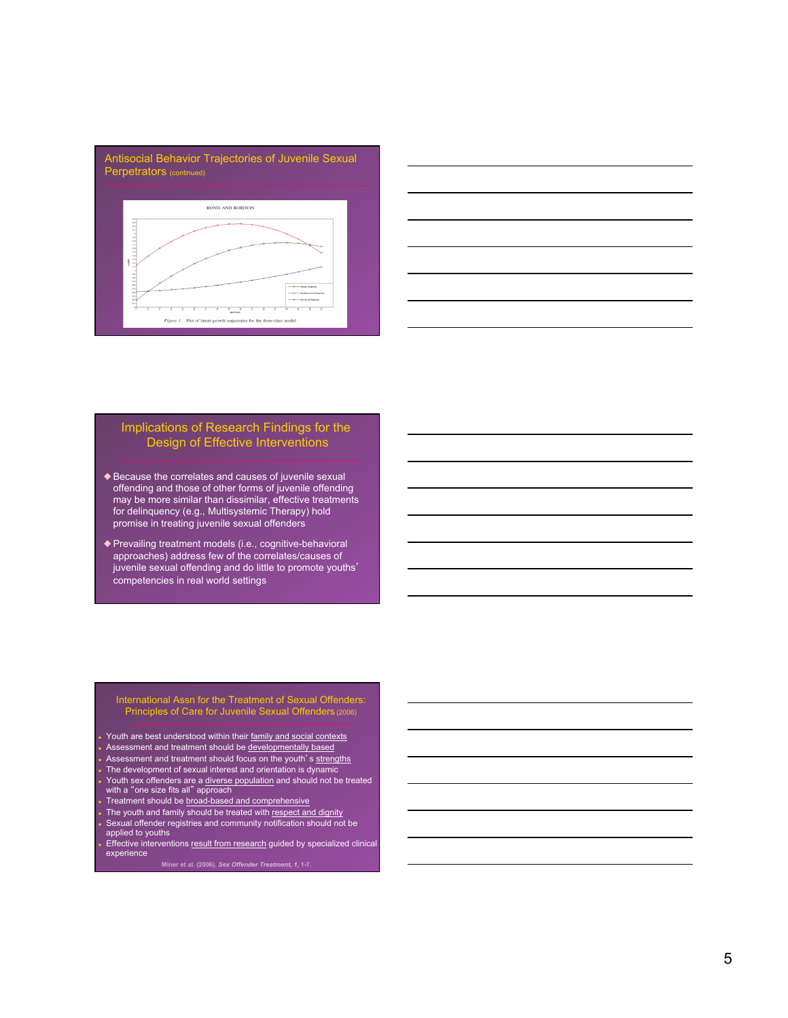



# Implications of Research Findings for the Design of Effective Interventions

- ◆ Because the correlates and causes of juvenile sexual offending and those of other forms of juvenile offending may be more similar than dissimilar, effective treatments for delinquency (e.g., Multisystemic Therapy) hold promise in treating juvenile sexual offenders
- ◆ Prevailing treatment models (i.e., cognitive-behavioral approaches) address few of the correlates/causes of juvenile sexual offending and do little to promote youths' competencies in real world settings

#### International Assn for the Treatment of Sexual Offenders: Principles of Care for Juvenile Sexual Offenders (2006)

- Youth are best understood within their family and social contexts
- Assessment and treatment should be developmentally based
- Assessment and treatment should focus on the youth's strengths
- The development of sexual interest and orientation is dynamic
- ◆ Youth sex offenders are a diverse population and should not be treated with a "one size fits all" approach
- Treatment should be **broad-based and comprehensive**
- The youth and family should be treated with respect and dignity ◆ Sexual offender registries and community notification should not be applied to youths
- Effective interventions result from research guided by specialized clinical experience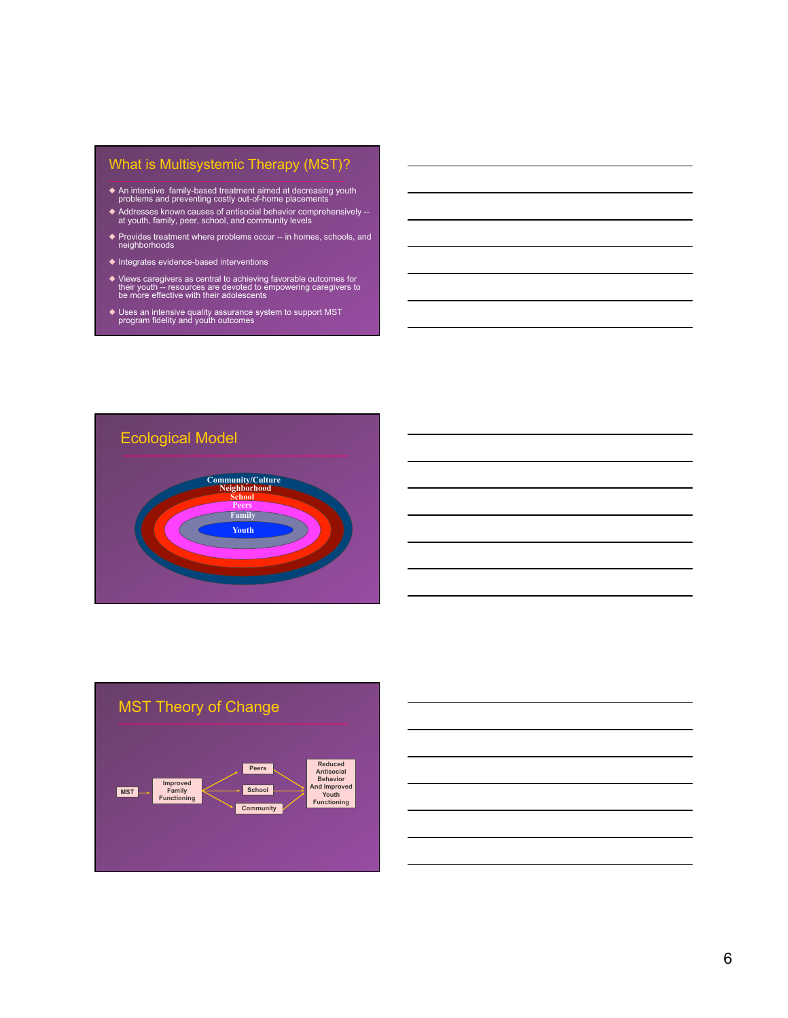# What is Multisystemic Therapy (MST)?

- ◆ An intensive family-based treatment aimed at decreasing youth problems and preventing costly out-of-home placements
- ◆ Addresses known causes of antisocial behavior comprehensively --<br>at youth, family, peer, school, and community levels
- ◆ Provides treatment where problems occur -- in homes, schools, and neighborhoods
- ◆ Integrates evidence-based interventions
- ◆ Views caregivers as central to achieving favorable outcomes for their youth -- resources are devoted to empowering caregivers to be more effective with their adolescents
- ◆ Uses an intensive quality assurance system to support MST program fidelity and youth outcomes





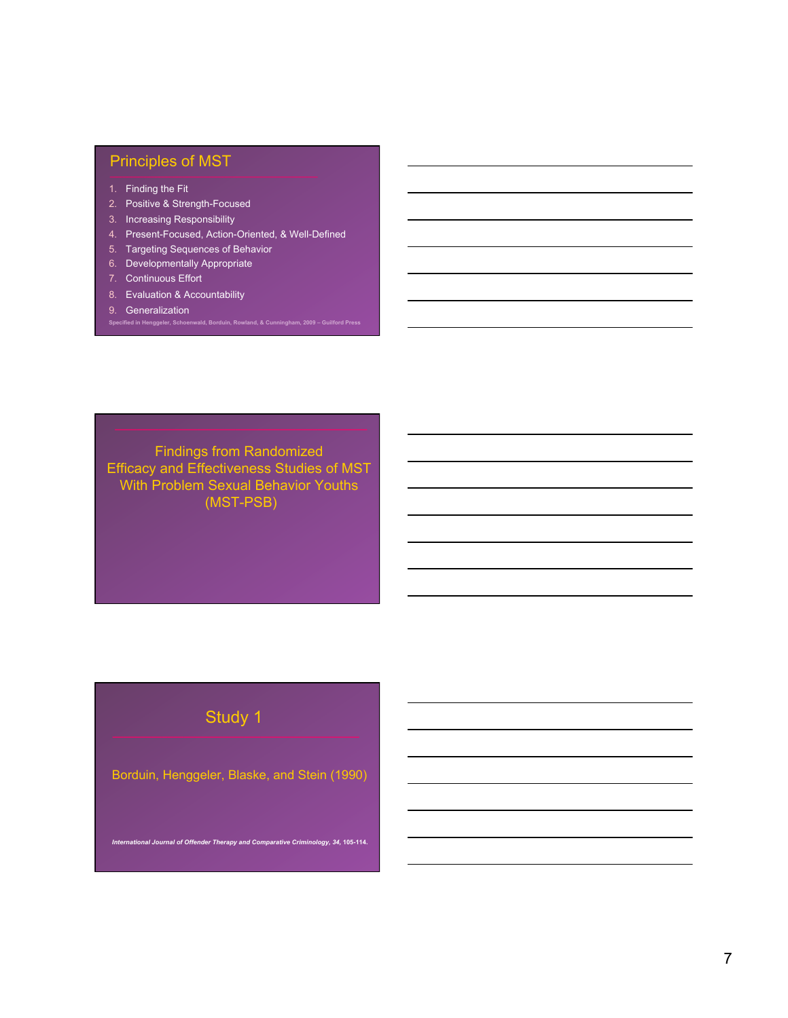# Principles of MST

- 1. Finding the Fit
- 2. Positive & Strength-Focused
- 3. Increasing Responsibility
- 4. Present-Focused, Action-Oriented, & Well-Defined

**Specified in Henggeler, Schoenwald, Borduin, Rowland, & Cunningham, 2009 – Guilford Press** 

- 5. Targeting Sequences of Behavior
- 6. Developmentally Appropriate
- 7. Continuous Effort
- 8. Evaluation & Accountability
- 9. Generalization

Findings from Randomized Efficacy and Effectiveness Studies of MST With Problem Sexual Behavior Youths (MST-PSB)

# Study 1

Borduin, Henggeler, Blaske, and Stein (1990)

*International Journal of Offender Therapy and Comparative Criminology, 34,* **105-114.**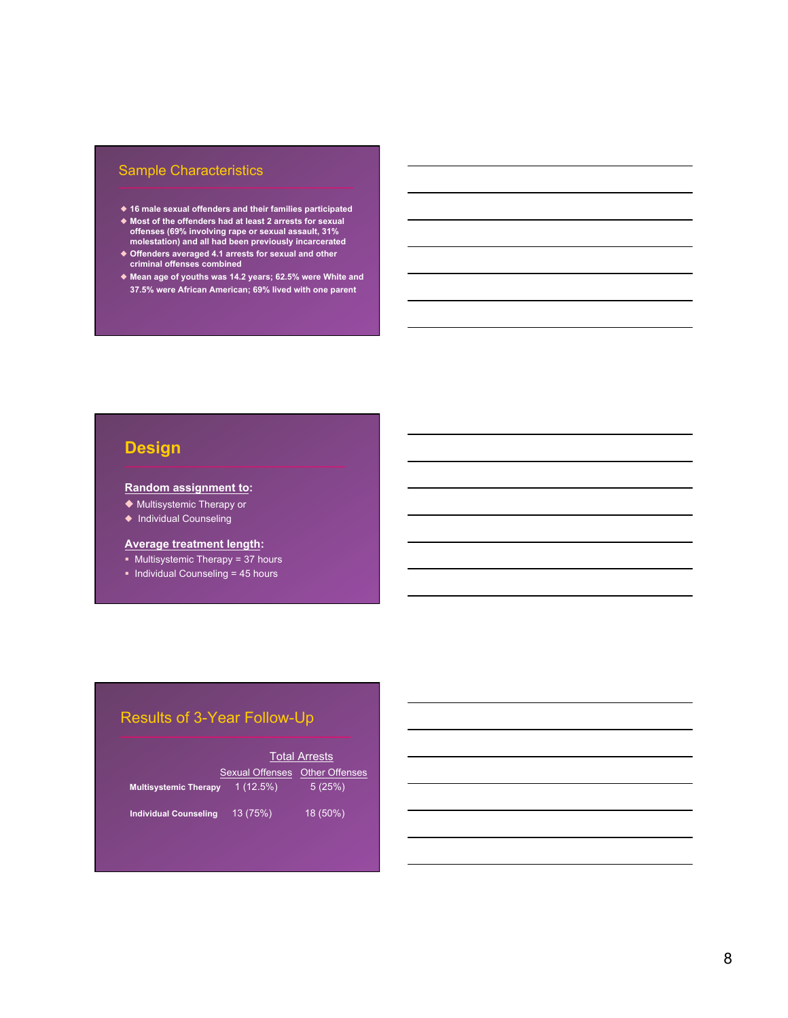# Sample Characteristics

- ◆ **16 male sexual offenders and their families participated**
- ◆ **Most of the offenders had at least 2 arrests for sexual offenses (69% involving rape or sexual assault, 31% molestation) and all had been previously incarcerated**
- ◆ **Offenders averaged 4.1 arrests for sexual and other criminal offenses combined**
- ◆ **Mean age of youths was 14.2 years; 62.5% were White and 37.5% were African American; 69% lived with one parent**

# **Design**

#### **Random assignment to:**

◆ Multisystemic Therapy or

◆ Individual Counseling

#### **Average treatment length:**

- § Multisystemic Therapy = 37 hours
- § Individual Counseling = 45 hours

# Results of 3-Year Follow-Up

|                              | <b>Total Arrests</b>   |                       |
|------------------------------|------------------------|-----------------------|
|                              | <b>Sexual Offenses</b> | <b>Other Offenses</b> |
| <b>Multisystemic Therapy</b> | 1(12.5%)               | 5(25%)                |
| <b>Individual Counseling</b> | 13 (75%)               | 18 (50%)              |
|                              |                        |                       |
|                              |                        |                       |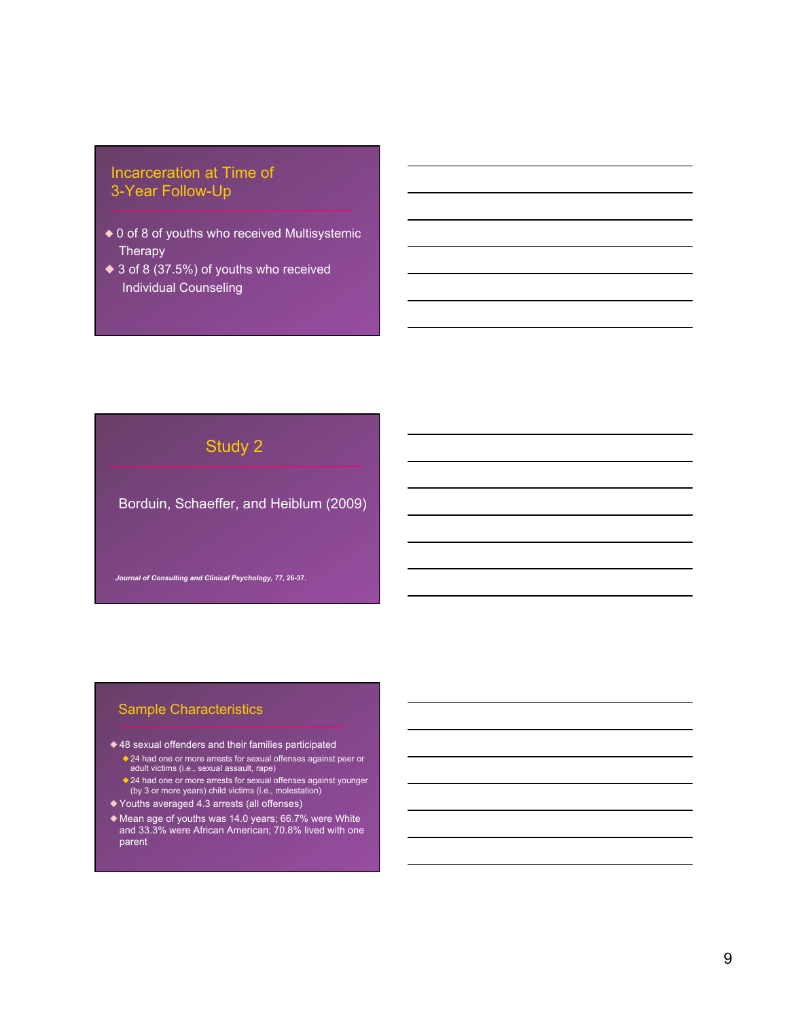# Incarceration at Time of 3-Year Follow-Up

- ◆ 0 of 8 of youths who received Multisystemic **Therapy**
- ◆ 3 of 8 (37.5%) of youths who received Individual Counseling

# Study 2

Borduin, Schaeffer, and Heiblum (2009)

*Journal of Consulting and Clinical Psychology, 77,* **26-37.** 

# Sample Characteristics

- ◆ 48 sexual offenders and their families participated
	- ◆24 had one or more arrests for sexual offenses against peer or adult victims (i.e., sexual assault, rape)
	- ◆24 had one or more arrests for sexual offenses against younger (by 3 or more years) child victims (i.e., molestation)
- ◆ Youths averaged 4.3 arrests (all offenses)
- ◆ Mean age of youths was 14.0 years; 66.7% were White and 33.3% were African American; 70.8% lived with one parent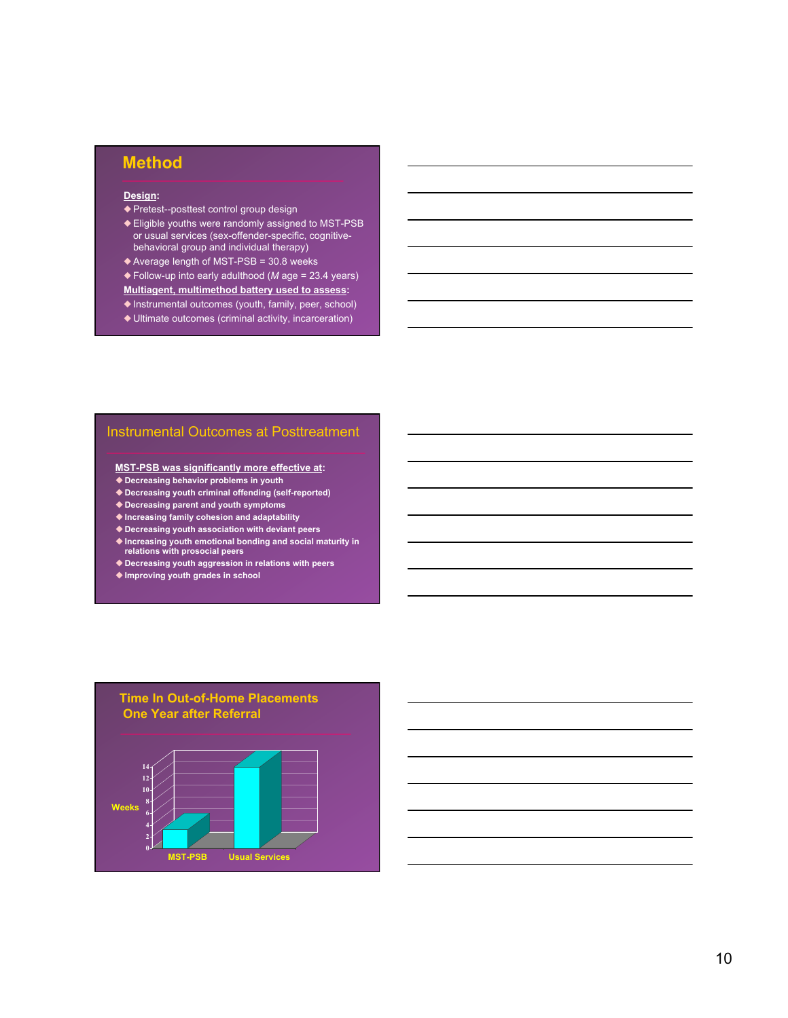# **Method**

#### **Design:**

- ◆ Pretest--posttest control group design
- ◆ Eligible youths were randomly assigned to MST-PSB or usual services (sex-offender-specific, cognitivebehavioral group and individual therapy)
- ◆ Average length of MST-PSB = 30.8 weeks
- ◆ Follow-up into early adulthood (*M* age = 23.4 years)
- **Multiagent, multimethod battery used to assess:**
- ◆ Instrumental outcomes (youth, family, peer, school)
- ◆ Ultimate outcomes (criminal activity, incarceration)

#### Instrumental Outcomes at Posttreatment

**MST-PSB was significantly more effective at:** 

- u**Decreasing behavior problems in youth**
- u**Decreasing youth criminal offending (self-reported)**
- u**Decreasing parent and youth symptoms**
- u**Increasing family cohesion and adaptability**
- u**Decreasing youth association with deviant peers**
- u**Increasing youth emotional bonding and social maturity in relations with prosocial peers**
- ◆ Decreasing youth aggression in relations with peers
- ◆ Improving youth grades in school

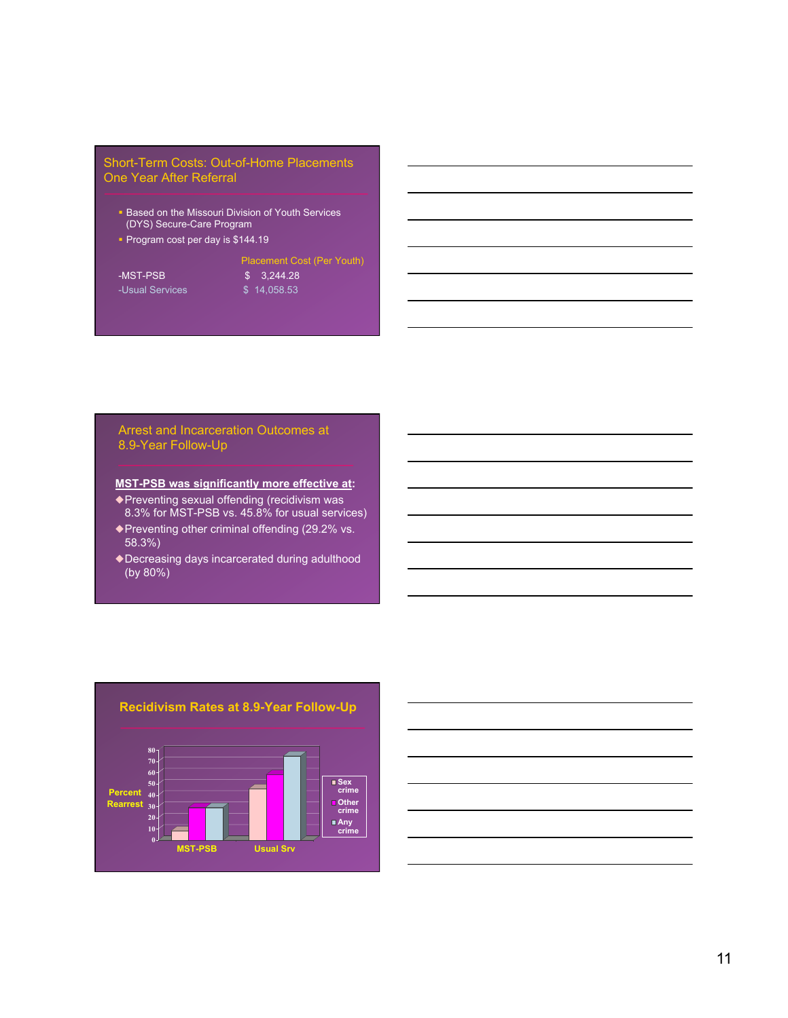## Short-Term Costs: Out-of-Home Placements One Year After Referral

- Based on the Missouri Division of Youth Services (DYS) Secure-Care Program
- § Program cost per day is \$144.19

#### Placement Cost (Per Youth)

-MST-PSB \$ 3,244.28 -Usual Services \$ 14,058.53

#### Arrest and Incarceration Outcomes at 8.9-Year Follow-Up

#### **MST-PSB was significantly more effective at:**

◆Preventing sexual offending (recidivism was 8.3% for MST-PSB vs. 45.8% for usual services) ◆Preventing other criminal offending (29.2% vs.

- 58.3%)
- ◆Decreasing days incarcerated during adulthood (by 80%)





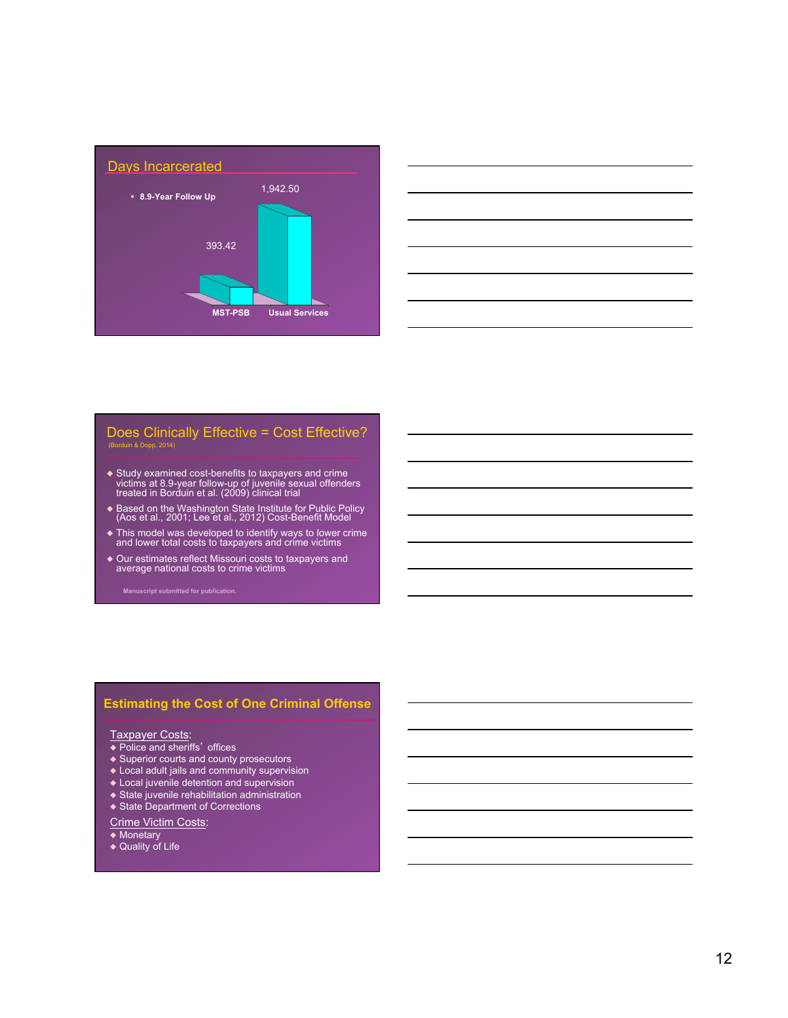



# Does Clinically Effective = Cost Effective?

- ◆ Study examined cost-benefits to taxpayers and crime victims at 8.9-year follow-up of juvenile sexual offenders treated in Borduin et al. (2009) clinical trial
- ◆ Based on the Washington State Institute for Public Policy (Aos et al., 2001; Lee et al., 2012) Cost-Benefit Model
- ◆ This model was developed to identify ways to lower crime and lower total costs to taxpayers and crime victims
- ◆ Our estimates reflect Missouri costs to taxpayers and average national costs to crime victims

# **Estimating the Cost of One Criminal Offense**

#### Taxpayer Costs:

- ◆ Police and sheriffs' offices
- ◆ Superior courts and county prosecutors
- ◆ Local adult jails and community supervision
- ◆ Local juvenile detention and supervision
- ◆ State juvenile rehabilitation administration
- ◆ State Department of Corrections
- Crime Victim Costs:

◆ Monetary

◆ Quality of Life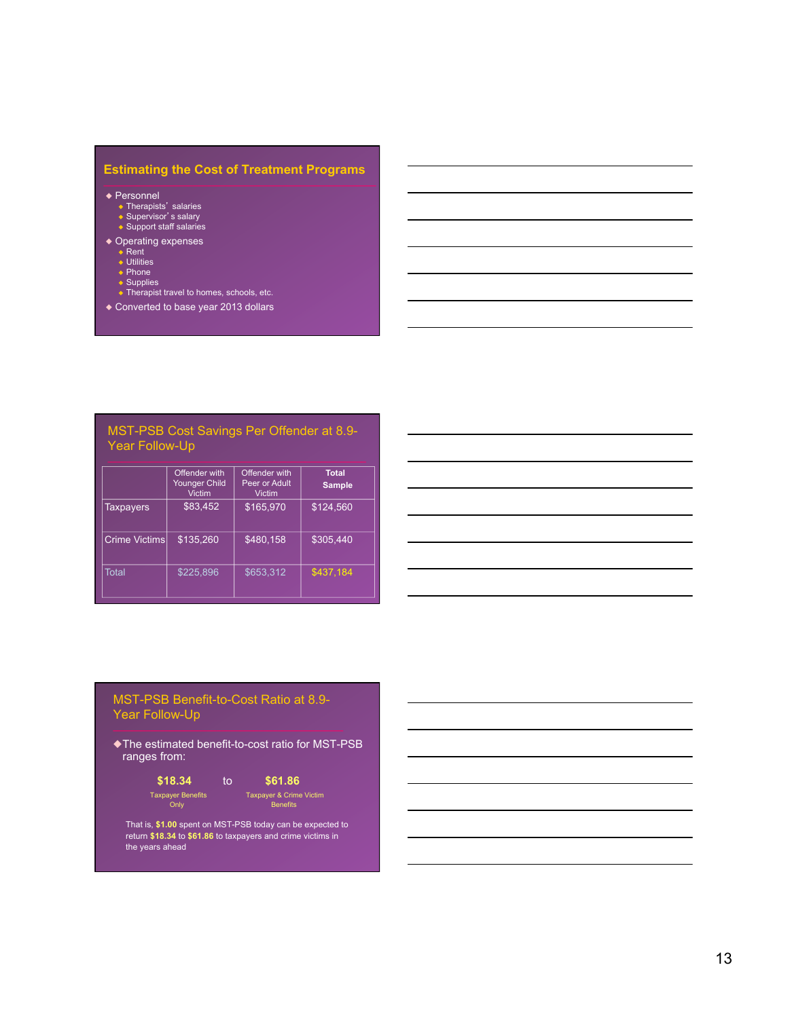# **Estimating the Cost of Treatment Programs**

◆ Personnel

- ◆ Therapists' salaries<br>◆ Supervisor's salary<br>◆ Support staff salaries
- 
- ◆ Operating expenses<br>◆ Rent<br>◆ Utilities
	-
	-
	-
	- ◆ Phone<br>◆ Supplies<br>◆ Therapist travel to homes, schools, etc.
- ◆ Converted to base year 2013 dollars

#### MST-PSB Cost Savings Per Offender at 8.9- Year Follow-Up

|                      | Offender with<br>Younger Child<br><b>Victim</b> | Offender with<br>Peer or Adult<br><b>Victim</b> | <b>Total</b><br><b>Sample</b> |
|----------------------|-------------------------------------------------|-------------------------------------------------|-------------------------------|
| <b>Taxpayers</b>     | \$83,452                                        | \$165.970                                       | \$124.560                     |
| <b>Crime Victims</b> | \$135,260                                       | \$480.158                                       | \$305.440                     |
| Total                | \$225.896                                       | \$653.312                                       | \$437,184                     |

## MST-PSB Benefit-to-Cost Ratio at 8.9- Year Follow-Up

◆The estimated benefit-to-cost ratio for MST-PSB ranges from:

$$
\begin{array}{cc}\n$18.34 & to & $61.86 \\
^{Taxpayer \text{ Benefits}} & \text{Taxpayer \& Crime Victim} \\
\text{Only } & \text{Benerfits} \\
\end{array}
$$

That is, **\$1.00** spent on MST-PSB today can be expected to return **\$18.34** to **\$61.86** to taxpayers and crime victims in the years ahead

13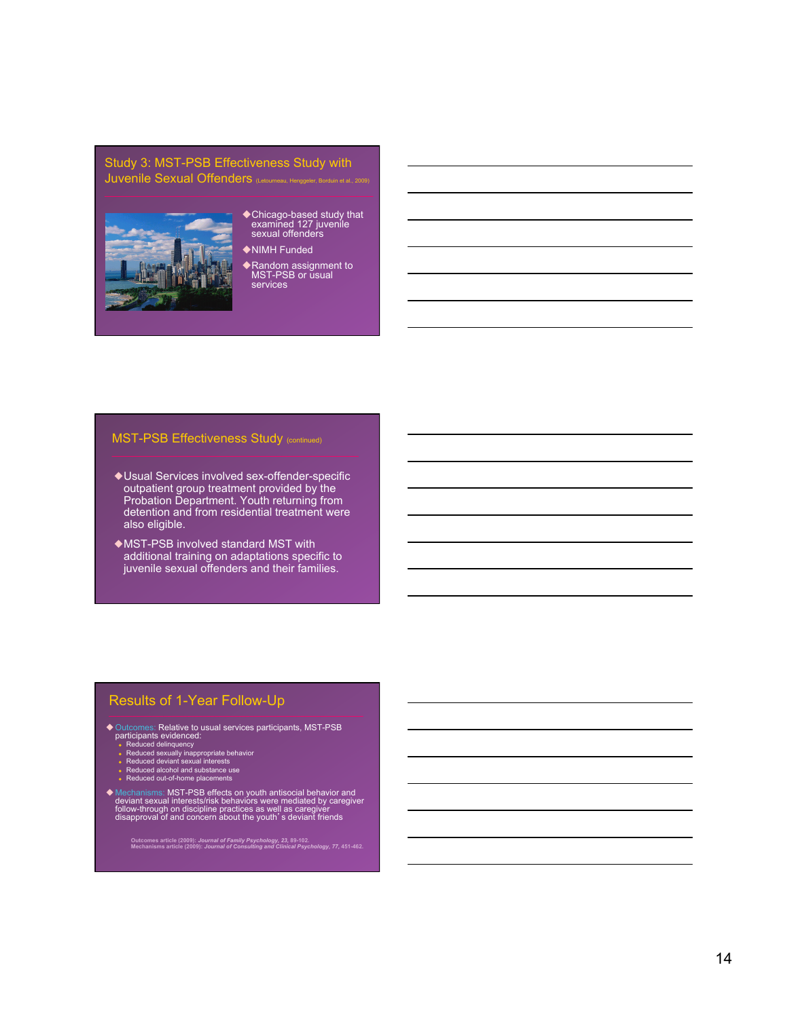#### Study 3: MST-PSB Effectiveness Study with Juvenile Sexual Offenders (Letourneau, Heng



- ◆ Chicago-based study that<br>examined 127 juvenile<br>sexual offenders
- ◆NIMH Funded
- ◆ Random assignment to<br>MST-PSB or usual services

### **MST-PSB Effectiveness Study (continued)**

- ◆Usual Services involved sex-offender-specific outpatient group treatment provided by the Probation Department. Youth returning from detention and from residential treatment were also eligible.
- ◆MST-PSB involved standard MST with additional training on adaptations specific to juvenile sexual offenders and their families.

### Results of 1-Year Follow-Up

- ◆ Outcomes: Relative to usual services participants, MST-PSB<br>participants evidenced:<br>- Reduced delinquency<br>- Reduced sexually inappropriate behavior<br>- Reduced deviant sexual interests<br>- Reduced alcohol and substance use<br>-
	-
	-
	-
	-
- ◆ Mechanisms: MST-PSB effects on youth antisocial behavior and<br>deviant sexual interests/risk behaviors were mediated by caregiver<br>follow-through on discipline practices as well as caregiver<br>disapproval of and concern abou

**Outcomes article (2009):** *Journal of Family Psychology, 23,* **89-102. Mechanisms article (2009):** *Journal of Consulting and Clinical Psychology, 77,* **451-462.**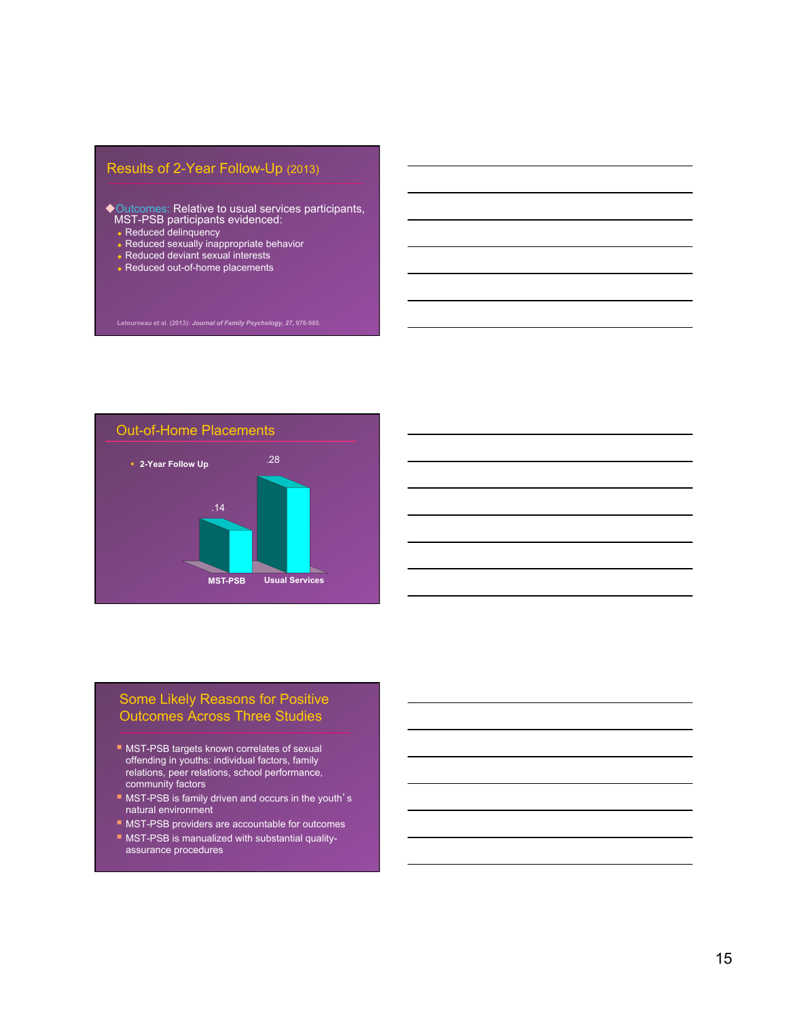# Results of 2-Year Follow-Up (2013)

- $\blacklozenge$  Outcomes: Relative to usual services participants, MST-PSB participants evidenced:
	- Reduced delinquency
	- $\bullet$  Reduced sexually inappropriate behavior
	- $\bullet$  Reduced deviant sexual interests
	- $\bullet$  Reduced out-of-home placements



# Some Likely Reasons for Positive Outcomes Across Three Studies

- MST-PSB targets known correlates of sexual offending in youths: individual factors, family relations, peer relations, school performance, community factors
- MST-PSB is family driven and occurs in the youth's natural environment
- MST-PSB providers are accountable for outcomes
- § MST-PSB is manualized with substantial qualityassurance procedures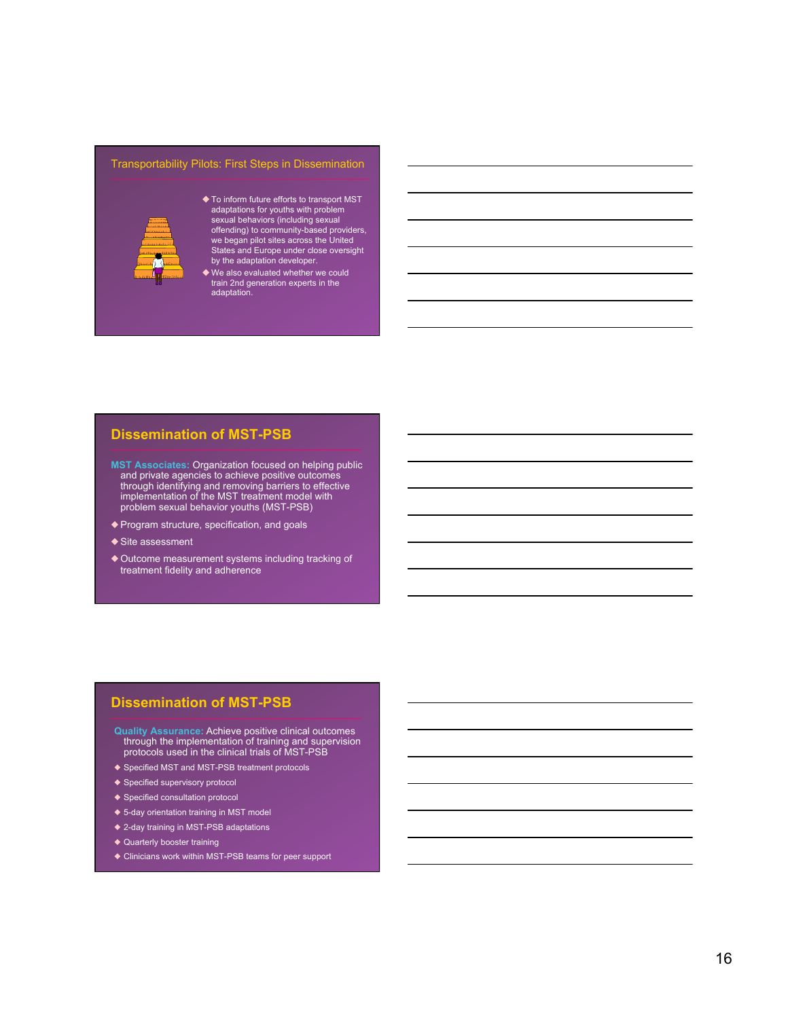#### Transportability Pilots: First Steps in Dissemination



- $\blacklozenge$  To inform future efforts to transport MST adaptations for youths with problem sexual behaviors (including sexual offending) to community-based providers, we began pilot sites across the United States and Europe under close oversight by the adaptation developer.
- $\blacklozenge$  We also evaluated whether we could train 2nd generation experts in the adaptation.

#### **Dissemination of MST-PSB**

- **MST Associates:** Organization focused on helping public and private agencies to achieve positive outcomes through identifying and removing barriers to effective implementation of the MST treatment model with problem sexual behavior youths (MST-PSB)
- ◆ Program structure, specification, and goals
- ◆ Site assessment
- ◆ Outcome measurement systems including tracking of treatment fidelity and adherence

# **Dissemination of MST-PSB**

- **Quality Assurance:** Achieve positive clinical outcomes through the implementation of training and supervision protocols used in the clinical trials of MST-PSB
- ◆ Specified MST and MST-PSB treatment protocols
- ◆ Specified supervisory protocol
- ◆ Specified consultation protocol
- ◆ 5-day orientation training in MST model
- ◆ 2-day training in MST-PSB adaptations
- ◆ Quarterly booster training
- ◆ Clinicians work within MST-PSB teams for peer support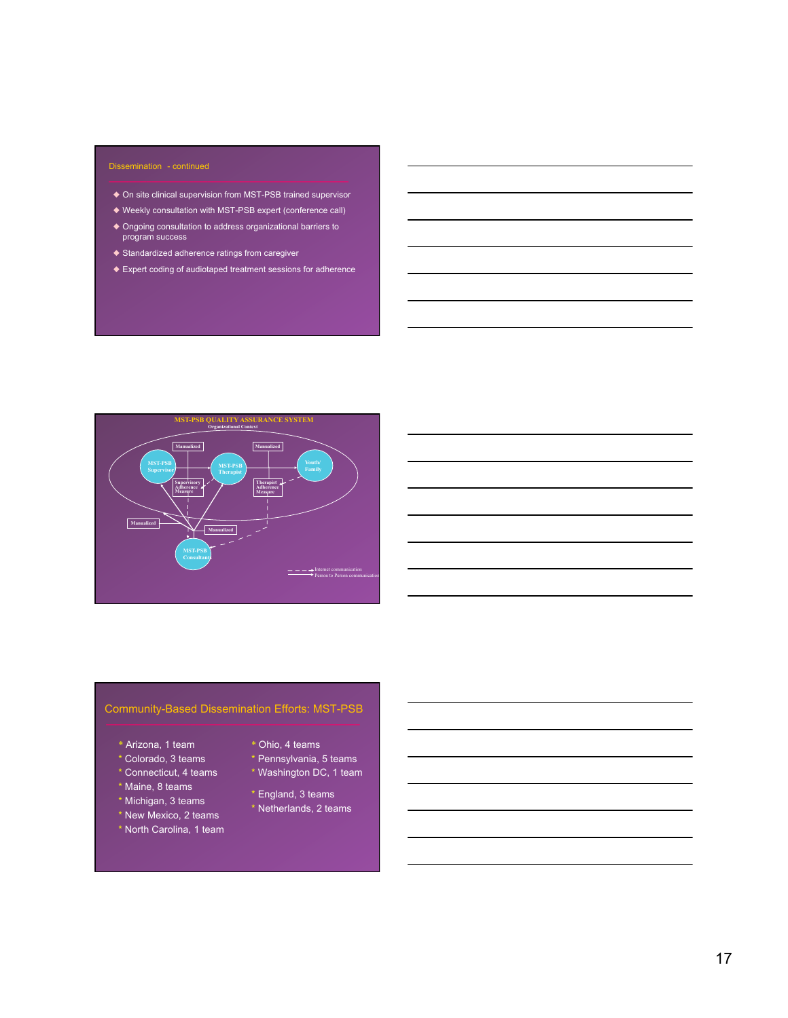#### Dissemination - continued

- ◆ On site clinical supervision from MST-PSB trained supervisor
- ◆ Weekly consultation with MST-PSB expert (conference call)
- ◆ Ongoing consultation to address organizational barriers to program success
- ◆ Standardized adherence ratings from caregiver
- ◆ Expert coding of audiotaped treatment sessions for adherence



# Community-Based Dissemination Efforts: MST-PSB

- \* Arizona, 1 team
- \* Colorado, 3 teams
- \* Connecticut, 4 teams
- \* Maine, 8 teams
- \* Michigan, 3 teams
- \* New Mexico, 2 teams
- \* North Carolina, 1 team
- \* Ohio, 4 teams
- \* Pennsylvania, 5 teams
- \* Washington DC, 1 team
- \* England, 3 teams
- \* Netherlands, 2 teams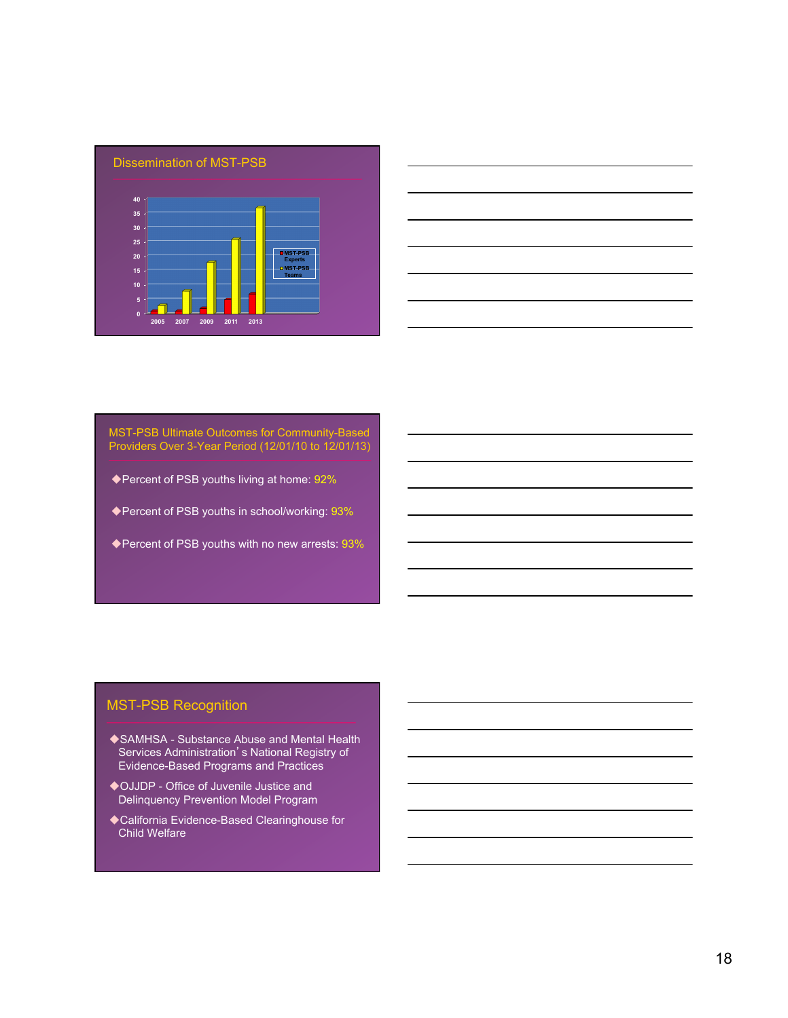



MST-PSB Ultimate Outcomes for Community-Based Providers Over 3-Year Period (12/01/10 to 12/01/13)

- ◆ Percent of PSB youths living at home: 92%
- ◆ Percent of PSB youths in school/working: 93%
- ◆ Percent of PSB youths with no new arrests: 93%

# MST-PSB Recognition

- ◆ SAMHSA Substance Abuse and Mental Health Services Administration's National Registry of Evidence-Based Programs and Practices
- ◆OJJDP Office of Juvenile Justice and Delinquency Prevention Model Program
- ◆ California Evidence-Based Clearinghouse for Child Welfare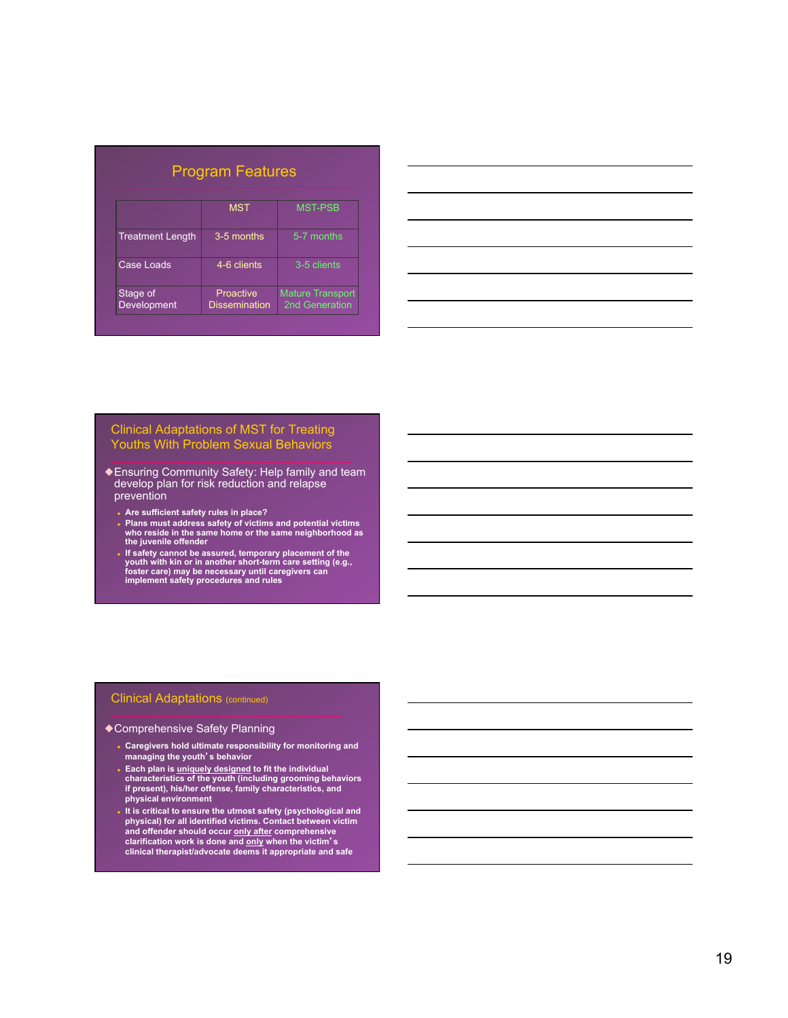| <b>Program Features</b>        |                                   |                                           |  |  |
|--------------------------------|-----------------------------------|-------------------------------------------|--|--|
|                                | <b>MST</b>                        | <b>MST-PSB</b>                            |  |  |
| <b>Treatment Length</b>        | 3-5 months                        | 5-7 months                                |  |  |
| Case Loads                     | 4-6 clients                       | 3-5 clients                               |  |  |
| Stage of<br><b>Development</b> | Proactive<br><b>Dissemination</b> | <b>Mature Transport</b><br>2nd Generation |  |  |



#### Clinical Adaptations of MST for Treating Youths With Problem Sexual Behaviors

- ◆Ensuring Community Safety: Help family and team develop plan for risk reduction and relapse prevention
	- Are sufficient safety rules in place?
	- ◆ **Plans must address safety of victims and potential victims who reside in the same home or the same neighborhood as the juvenile offender**
	- If safety cannot be assured, temporary placement of the<br>youth with kin or in another short-term care setting (e.g.,<br>foster care) may be necessary until caregivers can<br>implement safety procedures and rules

### Clinical Adaptations (continued)

#### ◆Comprehensive Safety Planning

- **Caregivers hold ultimate responsibility for monitoring and managing the youth**'**s behavior**
- ◆ **Each plan is uniquely designed to fit the individual characteristics of the youth (including grooming behaviors if present), his/her offense, family characteristics, and physical environment**
- ◆ **It is critical to ensure the utmost safety (psychological and physical) for all identified victims. Contact between victim and offender should occur only after comprehensive clarification work is done and only when the victim**'**s clinical therapist/advocate deems it appropriate and safe**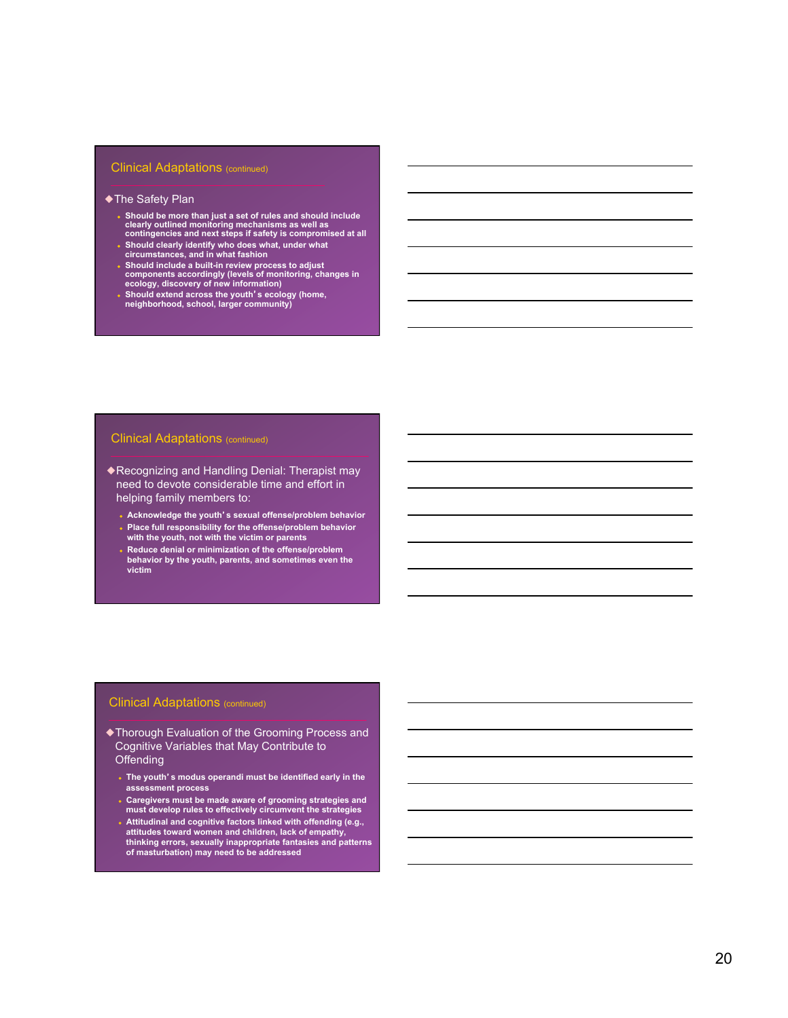#### Clinical Adaptations (continued)

#### ◆The Safety Plan

- ◆ **Should be more than just a set of rules and should include clearly outlined monitoring mechanisms as well as contingencies and next steps if safety is compromised at all**
- ◆ **Should clearly identify who does what, under what circumstances, and in what fashion**
- 
- ◆ **Should include a built-in review process to adjust components accordingly (levels of monitoring, changes in ecology, discovery of new information)**
- ◆ **Should extend across the youth**'**s ecology (home, neighborhood, school, larger community)**

#### **Clinical Adaptations (continued)**

◆Recognizing and Handling Denial: Therapist may need to devote considerable time and effort in helping family members to:

- ◆ **Acknowledge the youth**'**s sexual offense/problem behavior**
- ◆ **Place full responsibility for the offense/problem behavior with the youth, not with the victim or parents**
- **Reduce denial or minimization of the offense/problem behavior by the youth, parents, and sometimes even the victim**

#### **Clinical Adaptations (continued)**

- ◆Thorough Evaluation of the Grooming Process and Cognitive Variables that May Contribute to **Offending** 
	- ◆ **The youth**'**s modus operandi must be identified early in the assessment process**
	- ◆ **Caregivers must be made aware of grooming strategies and must develop rules to effectively circumvent the strategies**
	- A Attitudinal and cognitive factors linked with offending (e.g.,<br>attitudes toward women and children, lack of empathy,<br>thinking errors, sexually inappropriate fantasies and patterns<br>of masturbation) may need to be addresse
	-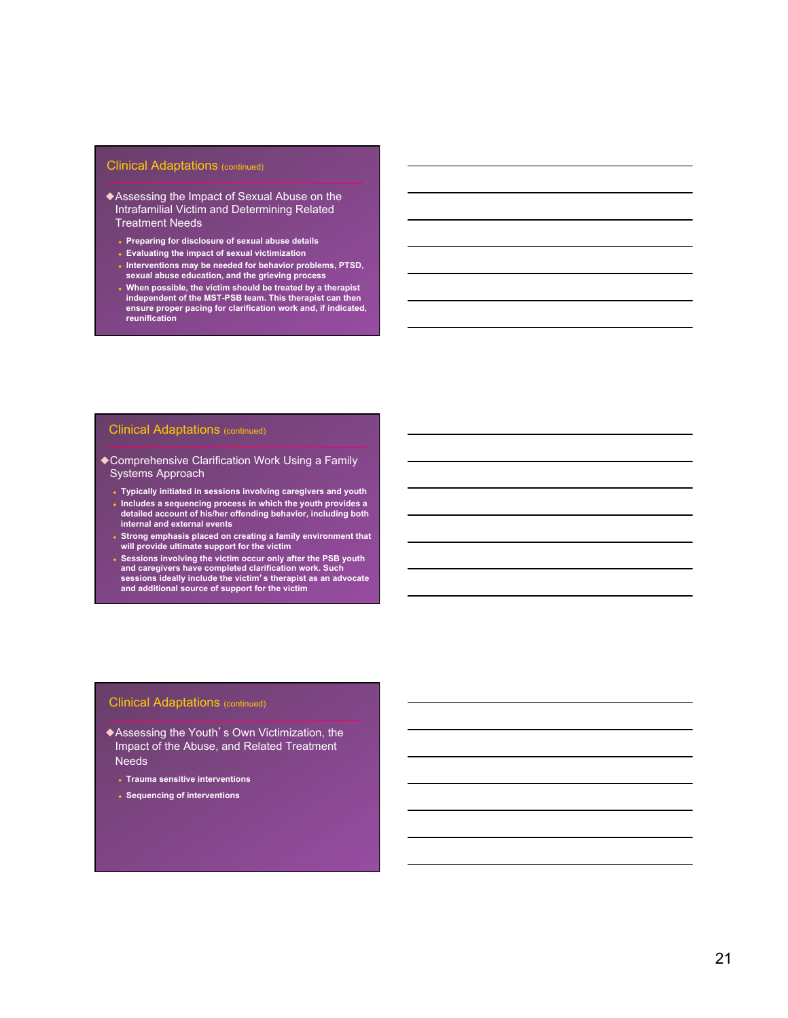#### Clinical Adaptations (continued)

- ◆Assessing the Impact of Sexual Abuse on the Intrafamilial Victim and Determining Related Treatment Needs
	- ◆ **Preparing for disclosure of sexual abuse details**
	- ◆ **Evaluating the impact of sexual victimization**
	- ◆ **Interventions may be needed for behavior problems, PTSD, sexual abuse education, and the grieving process**
	- ◆ **When possible, the victim should be treated by a therapist independent of the MST-PSB team. This therapist can then ensure proper pacing for clarification work and, if indicated, reunification**

#### **Clinical Adaptations (continued)**

- ◆Comprehensive Clarification Work Using a Family Systems Approach
	- ◆ **Typically initiated in sessions involving caregivers and youth**  ◆ **Includes a sequencing process in which the youth provides a detailed account of his/her offending behavior, including both internal and external events**
	- ◆ **Strong emphasis placed on creating a family environment that will provide ultimate support for the victim**
	- Sessions involving the victim occur only after the PSB youth **and caregivers have completed clarification work. Such sessions ideally include the victim**'**s therapist as an advocate and additional source of support for the victim**

#### **Clinical Adaptations (continued)**

- ◆Assessing the Youth's Own Victimization, the Impact of the Abuse, and Related Treatment **Needs** 
	- ◆ **Trauma sensitive interventions**
	- ◆ **Sequencing of interventions**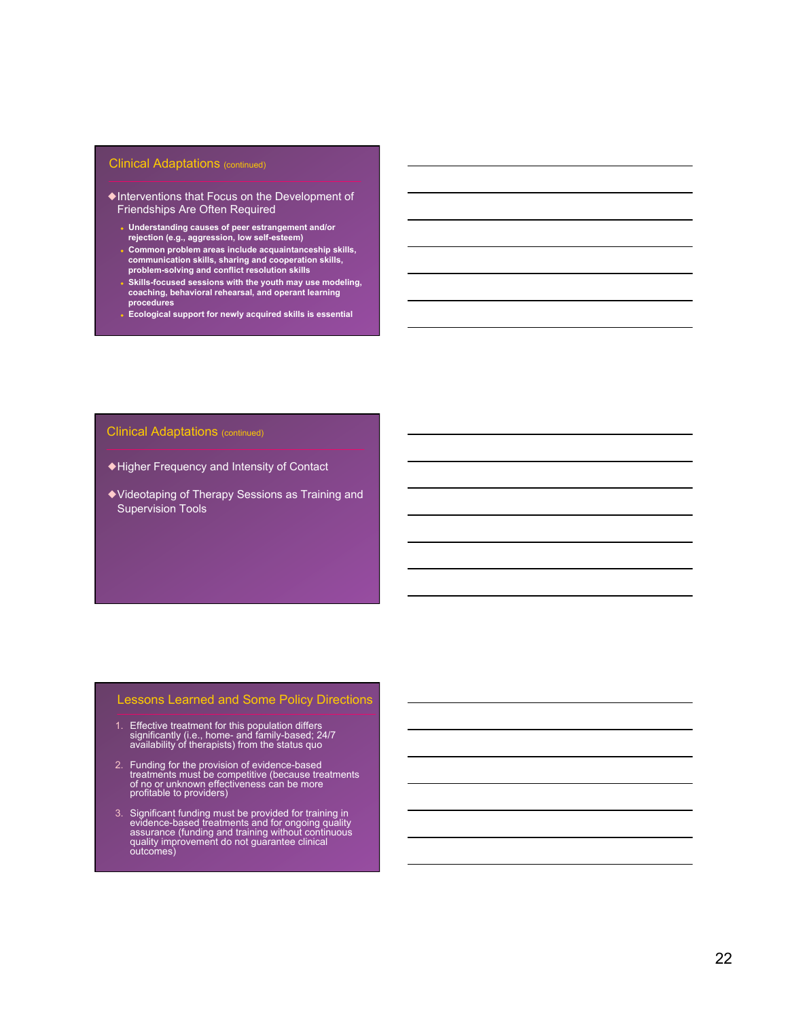#### **Clinical Adaptations (continued)**

- ◆Interventions that Focus on the Development of Friendships Are Often Required
	- ◆ **Understanding causes of peer estrangement and/or rejection (e.g., aggression, low self-esteem)**
	- ◆ **Common problem areas include acquaintanceship skills, communication skills, sharing and cooperation skills, problem-solving and conflict resolution skills**
	- ◆ **Skills-focused sessions with the youth may use modeling, coaching, behavioral rehearsal, and operant learning procedures**
	- ◆ **Ecological support for newly acquired skills is essential**

#### **Clinical Adaptations (continued)**

- ◆Higher Frequency and Intensity of Contact
- ◆Videotaping of Therapy Sessions as Training and Supervision Tools

### Lessons Learned and Some Policy Directions

- 1. Effective treatment for this population differs significantly (i.e., home- and family-based; 24/7 availability of therapists) from the status quo
- 2. Funding for the provision of evidence-based treatments must be competitive (because treatments of no or unknown effectiveness can be more profitable to providers)
- 3. Significant funding must be provided for training in evidence-based treatments and for ongoing quality assurance (funding and training without continuous quality improvement do not guarantee clinical outcomes)